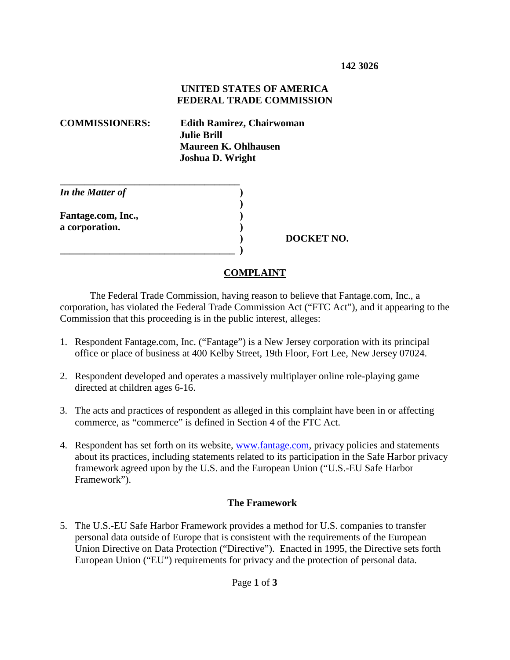## **UNITED STATES OF AMERICA FEDERAL TRADE COMMISSION**

**COMMISSIONERS: Edith Ramirez, Chairwoman Julie Brill Maureen K. Ohlhausen Joshua D. Wright**

| In the Matter of   |  |
|--------------------|--|
|                    |  |
| Fantage.com, Inc., |  |
| a corporation.     |  |
|                    |  |
|                    |  |

 **) DOCKET NO.**

## **COMPLAINT**

The Federal Trade Commission, having reason to believe that Fantage.com, Inc., a corporation, has violated the Federal Trade Commission Act ("FTC Act"), and it appearing to the Commission that this proceeding is in the public interest, alleges:

- 1. Respondent Fantage.com, Inc. ("Fantage") is a New Jersey corporation with its principal office or place of business at 400 Kelby Street, 19th Floor, Fort Lee, New Jersey 07024.
- 2. Respondent developed and operates a massively multiplayer online role-playing game directed at children ages 6-16.
- 3. The acts and practices of respondent as alleged in this complaint have been in or affecting commerce, as "commerce" is defined in Section 4 of the FTC Act.
- 4. Respondent has set forth on its website, www.fantage.com, privacy policies and statements about its practices, including statements related to its participation in the Safe Harbor privacy framework agreed upon by the U.S. and the European Union ("U.S.-EU Safe Harbor Framework").

## **The Framework**

5. The U.S.-EU Safe Harbor Framework provides a method for U.S. companies to transfer personal data outside of Europe that is consistent with the requirements of the European Union Directive on Data Protection ("Directive"). Enacted in 1995, the Directive sets forth European Union ("EU") requirements for privacy and the protection of personal data.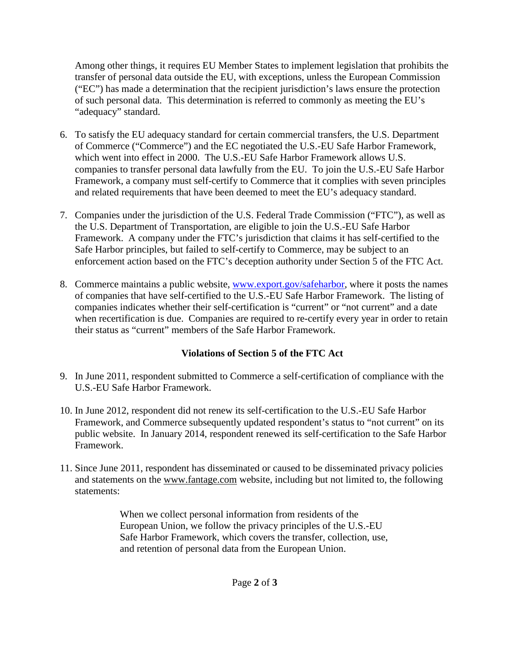Among other things, it requires EU Member States to implement legislation that prohibits the transfer of personal data outside the EU, with exceptions, unless the European Commission ("EC") has made a determination that the recipient jurisdiction's laws ensure the protection of such personal data. This determination is referred to commonly as meeting the EU's "adequacy" standard.

- 6. To satisfy the EU adequacy standard for certain commercial transfers, the U.S. Department of Commerce ("Commerce") and the EC negotiated the U.S.-EU Safe Harbor Framework, which went into effect in 2000. The U.S.-EU Safe Harbor Framework allows U.S. companies to transfer personal data lawfully from the EU. To join the U.S.-EU Safe Harbor Framework, a company must self-certify to Commerce that it complies with seven principles and related requirements that have been deemed to meet the EU's adequacy standard.
- 7. Companies under the jurisdiction of the U.S. Federal Trade Commission ("FTC"), as well as the U.S. Department of Transportation, are eligible to join the U.S.-EU Safe Harbor Framework. A company under the FTC's jurisdiction that claims it has self-certified to the Safe Harbor principles, but failed to self-certify to Commerce, may be subject to an enforcement action based on the FTC's deception authority under Section 5 of the FTC Act.
- 8. Commerce maintains a public website, www.export.gov/safeharbor, where it posts the names of companies that have self-certified to the U.S.-EU Safe Harbor Framework. The listing of companies indicates whether their self-certification is "current" or "not current" and a date when recertification is due. Companies are required to re-certify every year in order to retain their status as "current" members of the Safe Harbor Framework.

## **Violations of Section 5 of the FTC Act**

- 9. In June 2011, respondent submitted to Commerce a self-certification of compliance with the U.S.-EU Safe Harbor Framework.
- 10. In June 2012, respondent did not renew its self-certification to the U.S.-EU Safe Harbor Framework, and Commerce subsequently updated respondent's status to "not current" on its public website. In January 2014, respondent renewed its self-certification to the Safe Harbor Framework.
- 11. Since June 2011, respondent has disseminated or caused to be disseminated privacy policies and statements on the www.fantage.com website, including but not limited to, the following statements:

When we collect personal information from residents of the European Union, we follow the privacy principles of the U.S.-EU Safe Harbor Framework, which covers the transfer, collection, use, and retention of personal data from the European Union.